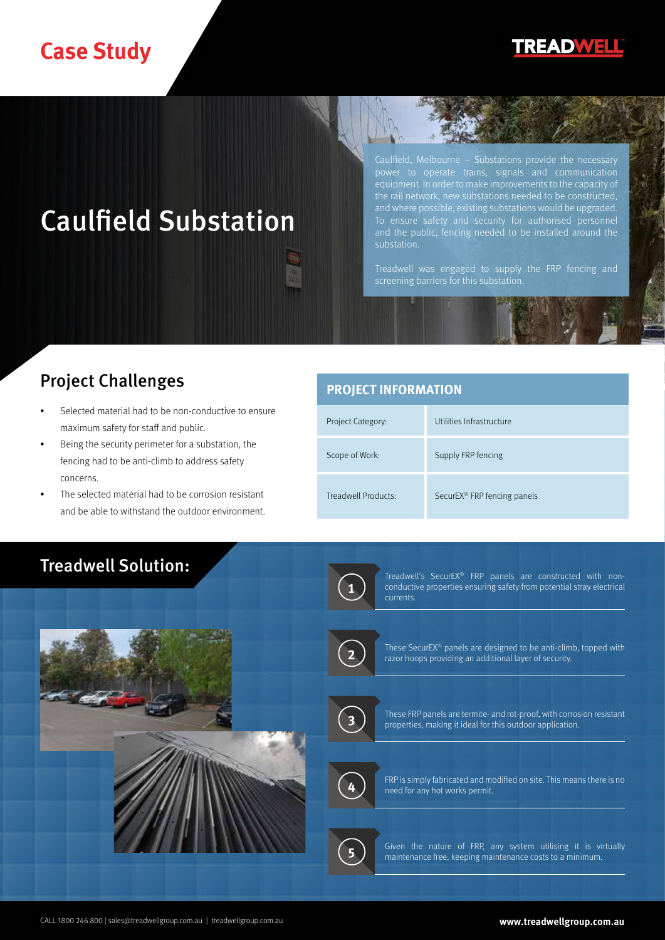# **Case Study**

# **TREADWELL**

# Caulfield Substation

Caulfield, Melbourne – Substations provide the necessary power to operate trains, signals and communication equipment. In order to make improvements to the capacity of the rail network, new substations needed to be constructed, and where possible, existing substations would be upgraded.

Treadwell was engaged to supply the FRP fencing and screening barriers for this substation.

## Project Challenges

- Selected material had to be non-conductive to ensure maximum safety for staff and public.
- Being the security perimeter for a substation, the fencing had to be anti-climb to address safety concerns.
- The selected material had to be corrosion resistant and be able to withstand the outdoor environment.

### **PROJECT INFORMATION**

| Project Category:   | Utilities Infrastructure                |
|---------------------|-----------------------------------------|
| Scope of Work:      | Supply FRP fencing                      |
| Treadwell Products: | SecurEX <sup>®</sup> FRP fencing panels |